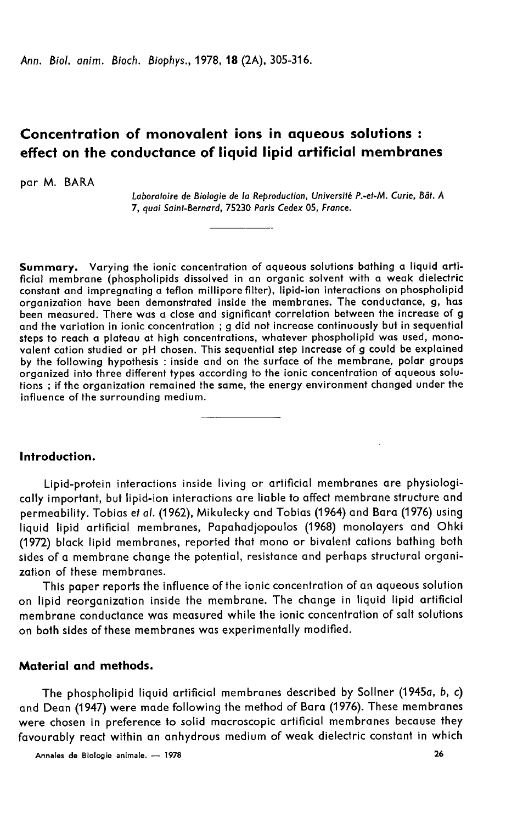Ann. Biol. anim. Bioch. Biophys., 1978, 18 (2A), 305-316.

# Concentration of monovalent ions in aqueous solutions : effect on the conductance of liquid lipid artificial membranes

par M. BARA

Laboratoire de Biologie de la Reproduction, Université P .- et-M. Curie, Bât. A 7, quai Saint-Bernard, 75230 Paris Cedex 05, France.

Summary. Varying the ionic concentration of aqueous solutions bathing a liquid artificial membrane (phospholipids dissolved in an organic solvent with a weak dielectric constant and impregnating a teflon millipore filter), lipid-ion interactions on phospholipid organization have been demonstrated inside the membranes. The conductance, g, has been measured. There was a close and significant correlation between the increase of g and the variation in ionic concentration ; g did not increase continuously but in sequential steps to reach a plateau at high concentrations, whatever phospholipid was used, monovalent cation studied or pH chosen. This sequential step increase of g could be explained by the following hypothesis : inside and on the surface of the membrane, polar groups organized into three different types according to the ionic concentration of aqueous solutions ; if the organization remained the same, the energy environment changed under the influence of the surrounding medium.

## Introduction.

Lipid-protein interactions inside living or artificial membranes are physiologically important, but lipid-ion interactions are liable to affect membrane structure and permeability. Tobias et al. (1962), Mikulecky and Tobias (1964) and Bara (1976) using liquid lipid artificial membranes, Papahadjopoulos (1968) monolayers and Ohki (1972) black lipid membranes, reported that mono or bivalent cations bathing both sides of a membrane change the potential, resistance and perhaps structural organization of these membranes.

This paper reports the influence of the ionic concentration of an aqueous solution on lipid reorganization inside the membrane. The change in liquid lipid artificial membrane conductance was measured while the ionic concentration of salt solutions on both sides of these membranes was experimentally modified.

# Material and methods.

The phospholipid liquid artificial membranes described by Sollner (1945a, b, c) and Dean (1947) were made following the method of Bara (1976). These membranes were chosen in preference to solid macroscopic artificial membranes because they favourably react within an anhydrous medium of weak dielectric constant in which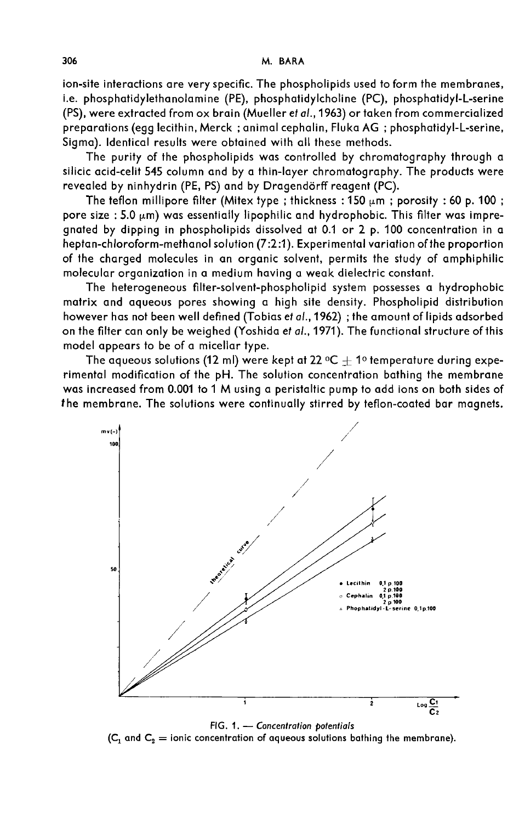ion-site interactions are very specific. The phospholipids used to form the membranes, i.e. phosphatidylethanolamine (PE), phosphatidylcholine (PC), phosphatidyl-L-serine (PS), were extracted from ox brain (Mueller et al., 1963) or taken from commercialized preparations (egg lecithin, Merck ; animal cephalin, Fluka AG ; phosphatidyl-L-serine, Sigma). Identical results were obtained with all these methods.

The purity of the phospholipids was controlled by chromatography through a silicic acid-celit 545 column and by a thin-layer chromatography. The products were revealed by ninhydrin (PE, PS) and by Dragendörff reagent (PC).

The teflon millipore filter (Mitex type; thickness:  $150 \mu m$ ; porosity: 60 p. 100; pore size : 5.0  $\mu$ m) was essentially lipophilic and hydrophobic. This filter was impregnated by dipping in phospholipids dissolved at 0.1 or 2 p. 100 concentration in a heptan-chloroform-methanol solution (7:2:1). Experimental variation ofthe proportion of the charged molecules in an organic solvent, permits the study of amphiphilic molecular organization in a medium having a weak dielectric constant.

The heterogeneous filter-solvent-phospholipid system possesses a hydrophobic matrix and aqueous pores showing a high site density. Phospholipid distribution however has not been well defined (Tobias et al.,1962) ; the amount of lipids adsorbed on the filter can only be weighed (Yoshida et al., 1971). The functional structure of this model appears to be of a micellar type.

The aqueous solutions (12 ml) were kept at 22  $^{\circ}C \pm$  1<sup>0</sup> temperature during experimental modification of the pH. The solution concentration bathing the membrane was increased from 0.001 to 1 M using a peristaltic pump to add ions on both sides of the membrane. The solutions were continually stirred by teflon-coated bar magnets.



FIG. 1. - Concentration potentials

 $(C_1$  and  $C_2$  = ionic concentration of aqueous solutions bathing the membrane).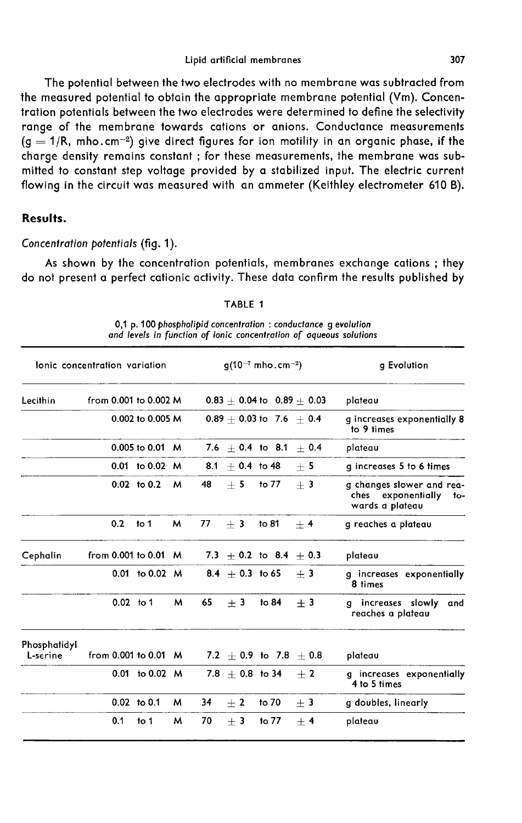#### Lipid artificial membranes

The potential between the two electrodes with no membrane was subtracted from the measured potential to obtain the appropriate membrane potential (Vm). Concentration potentials between the two electrodes were determined to define the selectivity range of the membrane towards cations or anions. Conductance measurements The potential between the two electrodes with no membrane was subtracted from<br>the measured potential to obtain the appropriate membrane potential (Vm). Concen-<br>tration potentials between the two electrodes were determined charge density remains constant ; for these measurements, the membrane was submitted to constant step voltage provided by a stabilized input. The electric current flowing in the circuit was measured with an ammeter (Keithley electrometer 610 B).

### Results.

## Concentration potentials (fig. 1).

As shown by the concentration potentials, membranes exchange cations ; they do not present a perfect cationic activity. These data confirm the results published by

| lonic concentration variation |  |             |                       |   |    |                     | $g(10^{-7}$ mho.cm <sup>-2</sup> ) | g Evolution |                                                                           |
|-------------------------------|--|-------------|-----------------------|---|----|---------------------|------------------------------------|-------------|---------------------------------------------------------------------------|
| Lecithin                      |  |             | from 0.001 to 0.002 M |   |    |                     | $0.83 + 0.04$ to $0.89 + 0.03$     |             | plateau                                                                   |
|                               |  |             | 0.002 to 0.005 M      |   |    |                     | $0.89 + 0.03$ to 7.6 + 0.4         |             | g increases exponentially 8<br>to 9 times                                 |
|                               |  |             | $0.005$ to $0.01$ M   |   |    |                     | 7.6 $\pm$ 0.4 to 8.1 $\pm$ 0.4     |             | plateau                                                                   |
|                               |  |             | 0.01 to 0.02 M        |   |    | $8.1 + 0.4$ to 48   |                                    | $+5$        | g increases 5 to 6 times                                                  |
|                               |  |             | $0.02$ to $0.2$       | м | 48 | $+5$                | to 77                              | $+3$        | g changes slower and rea-<br>ches exponentially<br>to-<br>wards a plateau |
|                               |  | 0.2         | to 1                  | M | 77 | $+3$                | to 81                              | $+4$        | g reaches a plateau                                                       |
| Cephalin                      |  |             | from 0.001 to 0.01 M  |   |    |                     | 7.3 $\pm$ 0.2 to 8.4 $\pm$ 0.3     |             | plateau                                                                   |
|                               |  |             | $0.01$ to $0.02$ M    |   |    | $8.4 + 0.3$ to 65   |                                    | $+3$        | g increases exponentially<br>8 times                                      |
|                               |  | $0.02$ to 1 |                       | м | 65 | $+3$                | to 84                              | $+3$        | g increases slowly<br>and<br>reaches a plateau                            |
| Phosphatidyl<br>L-serine      |  |             | from 0.001 to 0.01 M  |   |    |                     | 7.2 $+$ 0.9 to 7.8 $+$ 0.8         |             | plateau                                                                   |
|                               |  |             | $0.01$ to $0.02$ M    |   |    | $7.8 \pm 0.8$ to 34 |                                    | $+2$        | g increases exponentially<br>4 to 5 times                                 |
|                               |  |             | $0.02$ to $0.1$       | м | 34 | $\pm 2$             | to 70                              | $±$ 3       | g doubles, linearly                                                       |
|                               |  | 0.1         | to 1                  | м | 70 | $+3$                | to 77                              | $+4$        | plateau                                                                   |

TABLE 1

0,1 p. 100 phospholipid concentration : conductance g evolution and levels in function of ionic concentration of aqueous solutions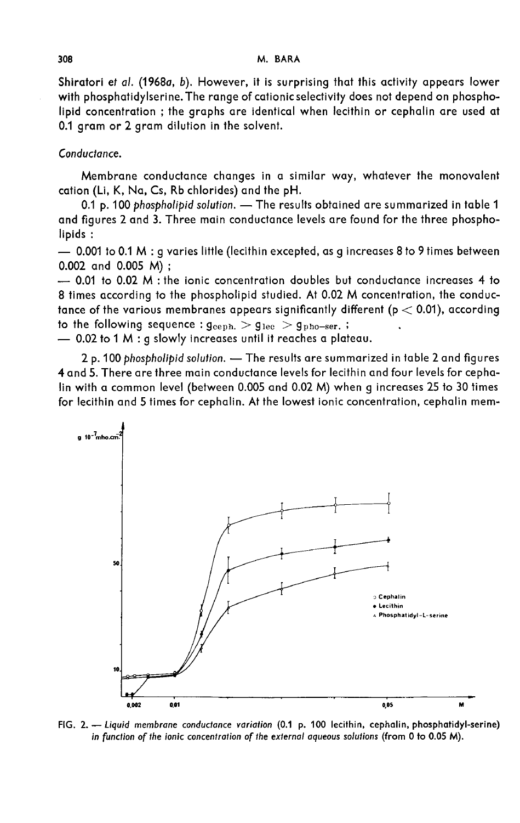Shiratori et al. (1968a, b). However, it is surprising that this activity appears lower with phosphatidylserine.The range of cationic selectivity does not depend on phospholipid concentration ; the graphs are identical when lecithin or cephalin are used at 0.1 gram or 2 gram dilution in the solvent.

#### Conductance.

Membrane conductance changes in a similar way, whatever the monovalent cation (Li, K, Na, Cs, Rb chlorides) and the pH.

0.1 p. 100 phospholipid solution. - The results obtained are summarized in table 1 and figures 2 and 3. Three main conductance levels are found for the three phospholipids :

 $-$  0.001 to 0.1 M : g varies little (lecithin excepted, as g increases 8 to 9 times between 0.002 and 0.005 M);

 $-$  0.01 to 0.02 M ; the ionic concentration doubles but conductance increases 4 to 8 times according to the phospholipid studied. At 0.02 M concentration, the conductance of the various membranes appears significantly different ( $p < 0.01$ ), according to the following sequence :  $g_{\rm ceph.} > g_{\rm lec} > g_{\rm pho-ser.}$ ; 0.002 and 0.005 M) ;<br>  $-$  0.01 to 0.02 M : the ionic concentration doubles but conducte<br>
8 times according to the phospholipid studied. At 0.02 M concent<br>
tance of the various membranes appears significantly different (p<br>

- 0.02 to 1 M : g slowly increases until it reaches a plateau.

2 p. 100 phospholipid solution. - The results are summarized in table 2 and figures 4 and 5. There are three main conductance levels for lecithin and four levels for cephalin with a common level (between 0.005 and 0.02 M) when g increases 25 to 30 times for lecithin and 5 times for cephalin. At the lowest ionic concentration, cephalin mem-



FIG. 2. - Liquid membrane conductance variation (0.1 p. 100 lecithin, cephalin, phosphatidyl-serine) in function of the ionic concentration of the external aqueous solutions (from 0 to 0.05 M).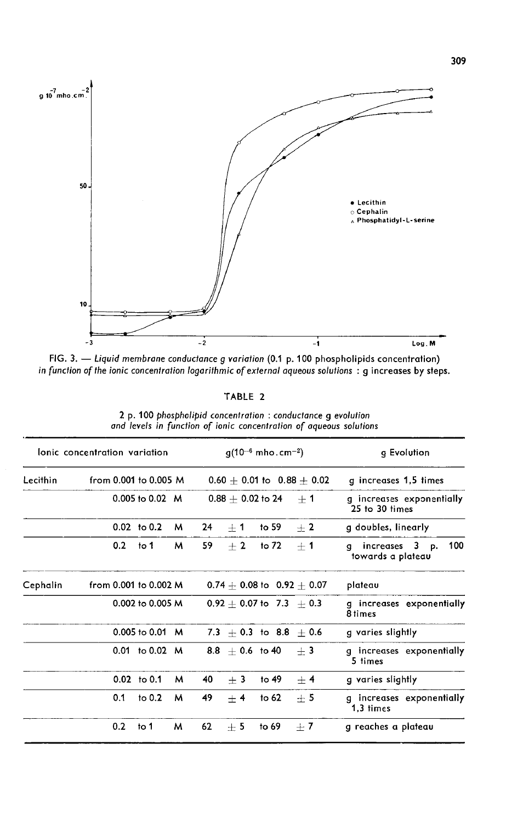

FIG. 3. - Liquid membrane conductance g variation (0.1 p. 100 phospholipids concentration) in function of the ionic concentration logarithmic of external aqueous solutions : g increases by steps.

TABLE 2

| lonic concentration variation |                       |                            | $q(10^{-6}$ mho.cm <sup>-2</sup> ) |    | g Evolution         |                                |                                |                                                 |
|-------------------------------|-----------------------|----------------------------|------------------------------------|----|---------------------|--------------------------------|--------------------------------|-------------------------------------------------|
| Lecithin                      | from 0.001 to 0.005 M |                            |                                    |    |                     |                                | $0.60 + 0.01$ to $0.88 + 0.02$ | g increases 1,5 times                           |
|                               |                       | 0.005 to 0.02 M            |                                    |    | $0.88 + 0.02$ to 24 |                                | $+1$                           | g increases exponentially<br>25 to 30 times     |
|                               |                       | $0.02$ to $0.2$            | м                                  | 24 | $+1$                | to 59                          | $+2$                           | g doubles, linearly                             |
|                               | 0.2                   | to 1                       | м                                  | 59 | $+2$                | to 72                          | $+1$                           | 100<br>increases 3 p.<br>q<br>towards a plateau |
| Cephalin                      | from 0.001 to 0.002 M |                            |                                    |    |                     | $0.74 + 0.08$ to $0.92 + 0.07$ |                                | plateau                                         |
|                               |                       | $0.002$ to 0.005 M         |                                    |    |                     | $0.92 + 0.07$ to $7.3 + 0.3$   |                                | g increases exponentially<br>8 times            |
|                               |                       | $0.005 \text{ to } 0.01$ M |                                    |    |                     | 7.3 $+$ 0.3 to 8.8 $+$ 0.6     |                                | g varies slightly                               |
|                               |                       | $0.01$ to $0.02$ M         |                                    |    | $8.8 + 0.6$ to 40   |                                | $+3$                           | g increases exponentially<br>5 times            |
|                               |                       | $0.02$ to 0.1              | м                                  | 40 | $+3$                | to $49$                        | $\pm$ 4                        | g varies slightly                               |
|                               | 0.1                   | to $0.2$                   | м                                  | 49 | $+4$                | to $62$                        | $\pm$ 5                        | g increases exponentially<br>1.3 times          |
|                               | 0.2                   | to 1                       | м                                  | 62 | $\pm$ 5             | to 69                          | $+7$                           | g reaches a plateau                             |

2 p. 100 phospholipid concentration : conductance g evolution and levels in function of ionic concentration of aqueous solutions

ă.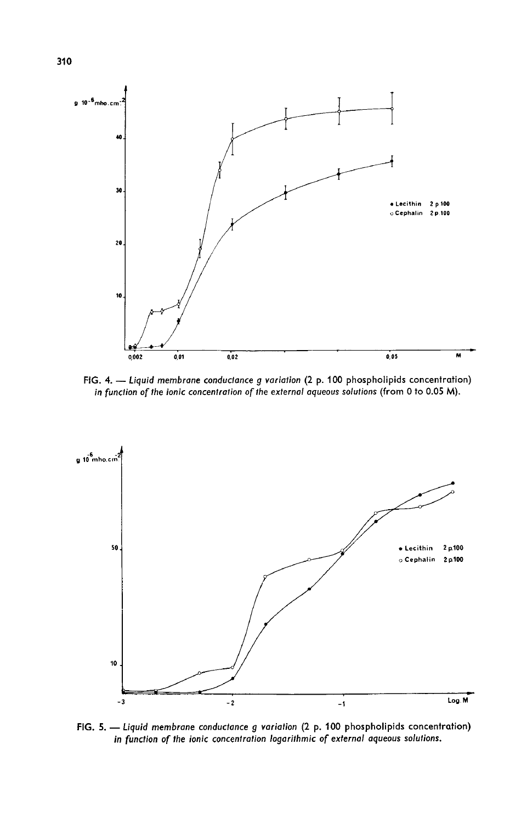

FIG. 4. - Liquid membrane conductance g variation (2 p. 100 phospholipids concentration) in function of the ionic concentration of the external aqueous solutions (from 0 to 0.05 M).



FIG. 5. - Liquid membrane conductance g variation (2 p. 100 phospholipids concentration) in function of the ionic concentration logarithmic of external aqueous solutions.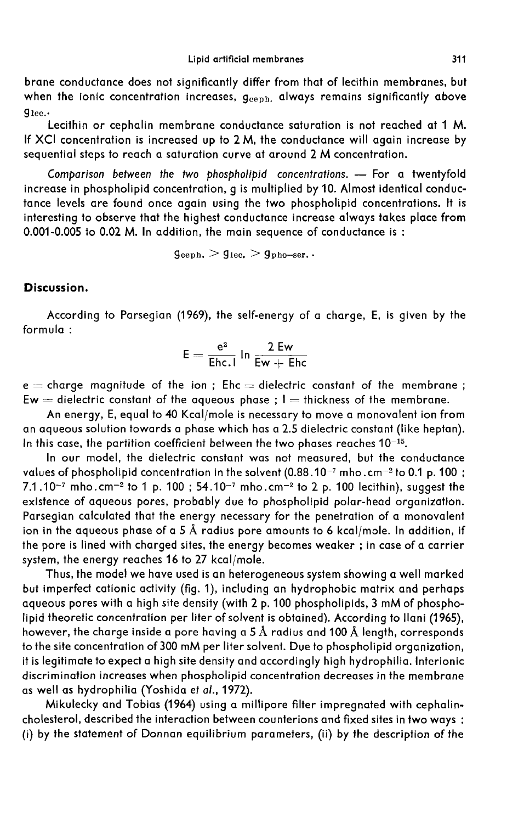brane conductance does not significantly differ from that of lecithin membranes, but brane conductance does not significantly differ from that of lecithin membranes, but<br>when the ionic concentration increases, g<sub>ceph.</sub> always remains significantly above<br><sup>Alee</sup> :  $q_{\text{lec.}}$ .

Lecithin or cephalin membrane conductance saturation is not reached at 1 M. If XCI concentration is increased up to 2 M, the conductance will again increase by sequential steps to reach a saturation curve at around 2 M concentration.

Comparison between the two phospholipid concentrations. -- For a twentyfold increase in phospholipid concentration, g is multiplied by 10. Almost identical conductance levels are found once again using the two phospholipid concentrations. It is interesting to observe that the highest conductance increase always takes place from 0.001-0.005 to 0.02 M. In addition, the main sequence of conductance is : again using the two phosp<br>e highest conductance increasition, the main sequence of<br> $g_{\rm ceph.} > g_{\rm lec.} > g_{\rm pho-ser.}$ .

# Discussion.

According to Parsegian (1969), the self-energy of a charge, E, is given by the formula :

$$
\mathsf{E} = \frac{\mathsf{e}^2}{\mathsf{E}\mathsf{hc}.\mathsf{I}}\,\mathsf{In}\,\frac{\mathsf{2}\,\mathsf{E}\mathsf{w}}{\mathsf{E}\mathsf{w} + \mathsf{E}\mathsf{hc}}
$$

 $e =$  charge magnitude of the ion; Ehc  $=$  dielectric constant of the membrane;  $Ew =$  dielectric constant of the aqueous phase ;  $l =$  thickness of the membrane.

An energy, E, equal to 40 Kcal/mole is necessary to move a monovalent ion from an aqueous solution towards a phase which has a 2.5 dielectric constant (like heptan). An energy, E, equal to 40 Kcal/mole is necessary to move a monovale<br>an aqueous solution towards a phase which has a 2.5 dielectric constant (li<br>In this case, the partition coefficient between the two phases reaches  $10^{-15$ 

In our model, the dielectric constant was not measured, but the conductance values of phospholipid concentration in the solvent (0.88.10<sup>-7</sup> mho.cm<sup>-2</sup> to 0.1 p. 100; An energy, E, equal to 40 Kcal/mole is necessary to move a monovalent ion from<br>an aqueous solution towards a phase which has a 2.5 dielectric constant (like heptan).<br>In this case, the partition coefficient between the two an aqueous solution towards a phase which has a 2.5 dielectric constant (like heptan).<br>In this case, the partition coefficient between the two phases reaches  $10^{-15}$ .<br>In our model, the dielectric constant was not measure existence of aqueous pores, probably due to phospholipid polar-head organization. Parsegian calculated that the energy necessary for the penetration of a monovalent ion in the aqueous phase of a 5 A radius pore amounts to 6 kcal/mole. In addition, if the pore is lined with charged sites, the energy becomes weaker ; in case of a carrier system, the energy reaches 16 to 27 kcal/mole.

Thus, the model we have used is an heterogeneous system showing a well marked but imperfect cationic activity (fig. 1), including an hydrophobic matrix and perhaps aqueous pores with a high site density (with 2 p. 100 phospholipids, 3 mM of phospholipid theoretic concentration per liter of solvent is obtained). According to Ilani (1965), however, the charge inside a pore having a 5 Å radius and 100 Å length, corresponds to the site concentration of 300 mM per liter solvent. Due to phospholipid organization, it is legitimate to expect a high site density and accordingly high hydrophilia. lnterionic discrimination increases when phospholipid concentration decreases in the membrane as well as hydrophilia (Yoshida et a/., 1972).

Mikulecky and Tobias (1964) using a millipore filter impregnated with cephalincholesterol, described the interaction between counterions and fixed sites in two ways : (i) by the statement of Donnan equilibrium parameters, (ii) by the description of the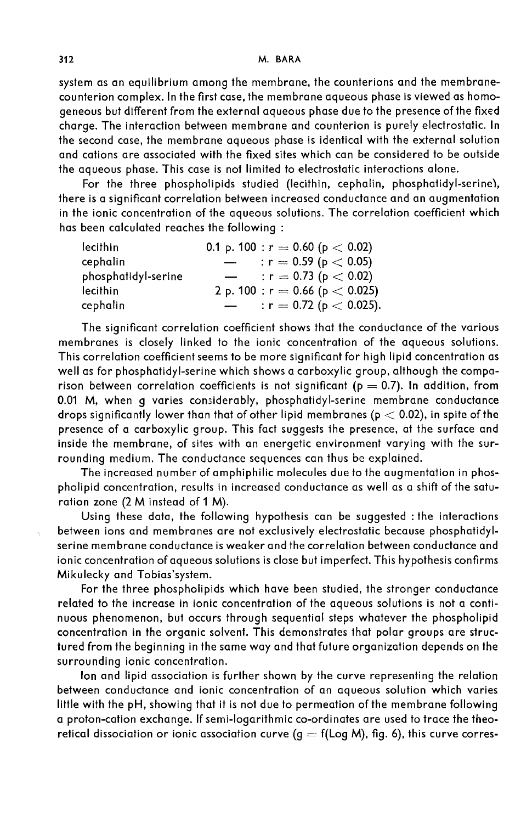system as an equilibrium among the membrane, the counterions and the membranecounterion complex. In the first case, the membrane aqueous phase is viewed as homogeneous but different from the external aqueous phase due to the presence of the fixed charge. The interaction between membrane and counterion is purely electrostatic. In the second case, the membrane aqueous phase is identical with the external solution and cations are associated with the fixed sites which can be considered to be outside the aqueous phase. This case is not limited to electrostatic interactions alone.

For the three phospholipids studied (lecithin, cephalin, phosphatidyl-serinel, there is a significant correlation between increased conductance and an augmentation in the ionic concentration of the aqueous solutions. The correlation coefficient which has been calculated reaches the following :

| 0.1 p. 100 : $r = 0.60$ (p $< 0.02$ )                    |
|----------------------------------------------------------|
| : $r = 0.59$ ( $p < 0.05$ )<br>$\overline{\phantom{0}}$  |
| : $r = 0.73$ ( $p < 0.02$ )<br>$\overline{\phantom{0}}$  |
| 2 p. 100 : r = 0.66 (p $<$ 0.025)                        |
| $: r = 0.72$ (p $< 0.025$ ).<br>$\overline{\phantom{a}}$ |
|                                                          |

The significant correlation coefficient shows that the conductance of the various membranes is closely linked to the ionic concentration of the aqueous solutions. This correlation coefficient seems to be more significant for high lipid concentration as well as for phosphatidyl-serine which shows a carboxylic group, although the comparison between correlation coefficients is not significant ( $p = 0.7$ ). In addition, from 0.01 M, when g varies considerably, phosphatidyl-serine membrane conductance drops significantly lower than that of other lipid membranes ( $p < 0.02$ ), in spite of the presence of a carboxylic group. This fact suggests the presence, at the surface and inside the membrane, of sites with an energetic environment varying with the surrounding medium. The conductance sequences can thus be explained.

The increased number of amphiphilic molecules due to the augmentation in phospholipid concentration, results in increased conductance as well as a shift of the saturation zone (2 M instead of 1 M).

Using these data, the following hypothesis can be suggested : the interactions between ions and membranes are not exclusively electrostatic because phosphatidylserine membrane conductance is weaker and the correlation between conductance and ionic concentration of aqueous solutions is close but imperfect. This hypothesis confirms Mikulecky and Tobias'system.

For the three phospholipids which have been studied, the stronger conductance related to the increase in ionic concentration of the aqueous solutions is not a continuous phenomenon, but occurs through sequential steps whatever the phospholipid concentration in the organic solvent. This demonstrates that polar groups are structured from the beginning in the same way and that future organization depends on the surrounding ionic concentration.

ton and lipid association is further shown by the curve representing the relation between conductance and ionic concentration of an aqueous solution which varies little with the pH, showing that it is not due to permeation of the membrane following a proton-cation exchange. If semi-logarithmic co-ordinates are used to trace the theoretical dissociation or ionic association curve  $(q = f(\text{Log } M)$ , fig. 6), this curve corres-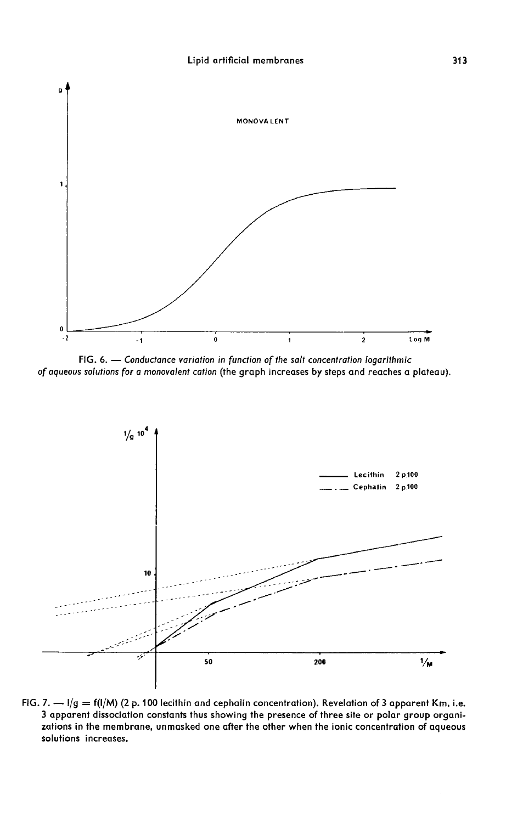

FIG. 6. - Conductance variation in function of the salt concentration logarithmic of aqueous solutions for a monovalent cation (the graph increases by steps and reaches a plateau).



FIG. 7.  $-$  1/g = f(1/M) (2 p. 100 lecithin and cephalin concentration). Revelation of 3 apparent Km, i.e. 3 apparent dissociation constants thus showing the presence of three site or polar group organizations in the membrane, unmasked one after the other when the ionic concentration of aqueous solutions increases.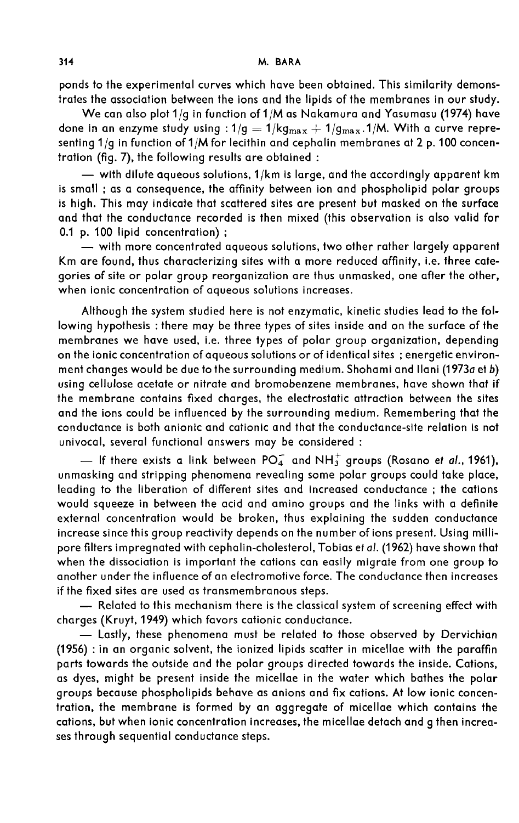ponds to the experimental curves which have been obtained. This similarity demonstrates the association between the ions and the lipids of the membranes in our study.

We can also plot 1/g in function of 1/M as Nakamura and Yasumasu (1974) have trates the association between the ions and the lipids of the membranes in our study.<br>We can also plot 1/g in function of 1/M as Nakamura and Yasumasu (1974) have<br>done in an enzyme study using : 1/g = 1/kg $_{\text{max}} + 1/g_{\text{max$ senting 1/g in function of 1/M for lecithin and cephalin membranes at 2 p. 100 concentration (fig. 7), the following results are obtained :

 $-$  with dilute aqueous solutions,  $1/km$  is large, and the accordingly apparent km is small ; as a consequence, the affinity between ion and phospholipid polar groups is high. This may indicate that scattered sites are present but masked on the surface and that the conductance recorded is then mixed (this observation is also valid for 0.1 p. 100 lipid concentration):

- with more concentrated aqueous solutions, two other rather largely apparent Km are found, thus characterizing sites with a more reduced affinity, i.e. three categories of site or polar group reorganization are thus unmasked, one after the other, when ionic concentration of aqueous solutions increases.

Although the system studied here is not enzymatic, kinetic studies lead to the following hypothesis : there may be three types of sites inside and on the surface of the membranes we have used, i.e. three types of polar group organization, depending on the ionic concentration of aqueous solutions or of identical sites ; energetic environment changes would be due to the surrounding medium. Shohami and llani (1973a et b) using cellulose acetate or nitrate and bromobenzene membranes, have shown that if the membrane contains fixed charges, the electrostatic attraction between the sites and the ions could be influenced by the surrounding medium. Remembering that the conductance is both anionic and cationic and that the conductance-site relation is not univocal, several functional answers may be considered :

- If there exists a link between PO<sub>4</sub> and NH<sub>3</sub> groups (Rosano et al., 1961), unmasking and stripping phenomena revealing some polar groups could take place, leading to the liberation of different sites and increased conductance ; the cations would squeeze in between the acid and amino groups and the links with a definite external concentration would be broken, thus explaining the sudden conductance increase since this group reactivity depends on the number of ions present. Using millipore filters impregnated with cephalin-cholesterol, Tobias et al. (1962) have shown that when the dissociation is important the cations can easily migrate from one group to another under the influence of an electromotive force. The conductance then increases if the fixed sites are used as transmembranous steps. - Related to this mechanism there is the classical system of screening effect with

charges (Kruyt, 1949) which favors cationic conductance.

- Lastly, these phenomena must be related to those observed by Dervichian (1956) : in an organic solvent, the ionized lipids scatter in micellae with the paraffin parts towards the outside and the polar groups directed towards the inside. Cations, as dyes, might be present inside the micellae in the water which bathes the polar groups because phospholipids behave as anions and fix cations. At low ionic concentration, the membrane is formed by an aggregate of micellae which contains the cations, but when ionic concentration increases, the micellae detach and g then increases through sequential conductance steps.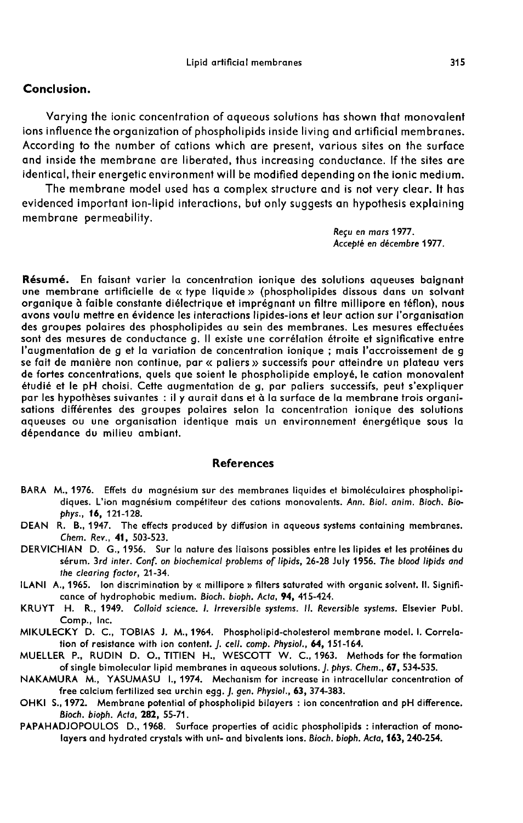#### Lipid artificial membranes

## Conclusion.

Varying the ionic concentration of aqueous solutions has shown that monovalent ions influence the organization of phospholipids inside living and artificial membranes. According to the number of cations which are present, various sites on the surface and inside the membrane are liberated, thus increasing conductance. If the sites are identical, their energetic environment will be modified depending on the ionic medium.

The membrane model used has a complex structure and is not very clear. It has evidenced important ion-lipid interactions, but only suggests an hypothesis explaining membrane permeability.

> Requ en mars 1977. Accepté en décembre 1977.

Résumé. En faisant varier la concentration ionique des solutions aqueuses baignant une membrane artificielle de «type liquide » (phospholipides dissous dans un solvant organique à faible constante diélectrique et imprégnant un filtre millipore en téflon), nous avons voulu mettre en évidence les interactions lipides-ions et leur action sur l'organisation des groupes polaires des phospholipides au sein des membranes. Les mesures effectuées sont des mesures de conductance g. Il existe une corrélation étroite et significative entre l'augmentation de g et la variation de concentration ionique ; mais l'accroissement de g se fait de manière non continue, par « paliers » successifs pour atteindre un plateau vers de fortes concentrations, quels que soient le phospholipide employé, le cation monovalent étudié et le pH choisi. Cette augmentation de g, par paliers successifs, peut s'expliquer par les hypothèses suivantes : il y aurait dans et à la surface de la membrane trois organisations différentes des groupes polaires selon la concentration ionique des solutions aqueuses ou une organisation identique mais un environnement énergétique sous la dépendance du milieu ambiant.

## **References**

- BARA M., 1976. Effets du magnesium sur des membranes liquides et bimol6culaires phospholipidiques. L'ion magnesium compétiteur des cations monovalents. Ann. Biol. anim. Bioch. Biophys., 16, 121-128.
- DEAN R. B., 1947. The effects produced by diffusion in aqueous systems containing membranes. Chem. Rev., 41, 503-523.
- DERVICHIAN D. G., 1956. Sur la nature des liaisons possibles entre les lipides et les protéines du sérum. 3rd inter. Conf. on biochemical problems of lipids, 26-28 July 1956. The blood lipids and the clearing factor, 21-34.
- ILANI A., 1965. Ion discrimination by « millipore » filters saturated with organic solvent. II. Signifi cance of hydrophobic medium. Bioch. bioph. Acta, 94, 415-424.
- KRUYT H. R., 1949. Colloid science. 1. Irreversible systems. II. Reversible systems. Elsevier Pubi. Comp., Inc.
- MIKULECKY D. C., TOBIAS J. M., 1964. Phospholipid-cholesterol membrane model. I. Correlation of resistance with ion content. J. cell. comp. Physiol., 64, 151-164.
- MUELLER P., RUDIN D. O., TITIEN H., WESCOTT W. C., 1963. Methods for the formation of single bimolecular lipid membranes in aqueous solutions. J. phys. Chem., 67, 534-535.
- NAKAMURA M., YASUMASU L, 1974. Mechanism for increase in intracellular concentration of free calcium fertilized sea urchin egg. J. gen. Physiol., 63, 374-383.
- OHKI S., 1972. Membrane potential of phospholipid bilayers : ion concentration and pH difference. Bioch. bioph. Acta, 282, 55-71.
- PAPAHADJOPOULOS D., 1968. Surface properties of acidic phospholipids : interaction of monolayers and hydrated crystals with uni- and bivalents ions. Bioch. bioph. Acta, 163, 240-254.